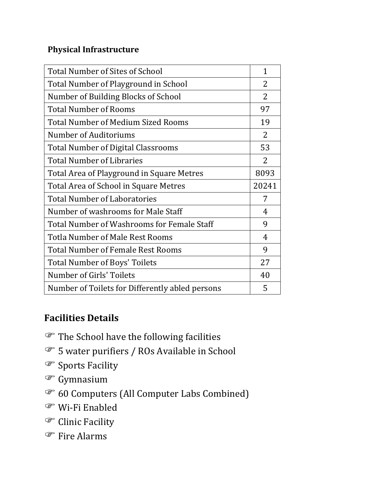## **Physical Infrastructure**

| Total Number of Sites of School            | 1              |
|--------------------------------------------|----------------|
| Total Number of Playground in School       | $\overline{2}$ |
| Number of Building Blocks of School        | $\overline{2}$ |
| <b>Total Number of Rooms</b>               | 97             |
| <b>Total Number of Medium Sized Rooms</b>  | 19             |
| Number of Auditoriums                      | $\overline{2}$ |
| <b>Total Number of Digital Classrooms</b>  | 53             |
| <b>Total Number of Libraries</b>           | $\overline{2}$ |
| Total Area of Playground in Square Metres  | 8093           |
|                                            |                |
| Total Area of School in Square Metres      | 20241          |
| <b>Total Number of Laboratories</b>        | 7              |
| Number of washrooms for Male Staff         | 4              |
| Total Number of Washrooms for Female Staff | 9              |
| <b>Totla Number of Male Rest Rooms</b>     | 4              |
| <b>Total Number of Female Rest Rooms</b>   | 9              |
| <b>Total Number of Boys' Toilets</b>       | 27             |
| Number of Girls' Toilets                   | 40             |

## **Facilities Details**

- The School have the following facilities
- <sup>5</sup> 5 water purifiers / ROs Available in School
- Sports Facility
- <sup>S</sup> Gymnasium
- 60 Computers (All Computer Labs Combined)
- Wi-Fi Enabled
- <sup>C</sup> Clinic Facility
- <sup>®</sup> Fire Alarms